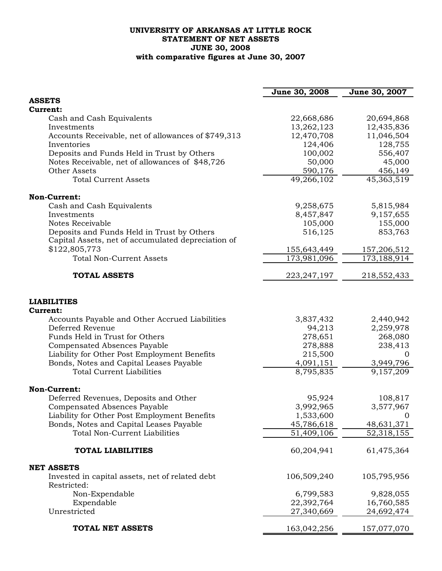## **UNIVERSITY OF ARKANSAS AT LITTLE ROCK STATEMENT OF NET ASSETS JUNE 30, 2008 with comparative figures at June 30, 2007**

|                                                     | June 30, 2008 | June 30, 2007 |  |
|-----------------------------------------------------|---------------|---------------|--|
| <b>ASSETS</b>                                       |               |               |  |
| Current:                                            |               |               |  |
| Cash and Cash Equivalents                           | 22,668,686    | 20,694,868    |  |
| Investments                                         | 13,262,123    | 12,435,836    |  |
| Accounts Receivable, net of allowances of \$749,313 | 12,470,708    | 11,046,504    |  |
| Inventories                                         | 124,406       | 128,755       |  |
| Deposits and Funds Held in Trust by Others          | 100,002       | 556,407       |  |
| Notes Receivable, net of allowances of \$48,726     | 50,000        | 45,000        |  |
| <b>Other Assets</b>                                 | 590,176       | 456,149       |  |
| <b>Total Current Assets</b>                         | 49,266,102    | 45,363,519    |  |
| <b>Non-Current:</b>                                 |               |               |  |
| Cash and Cash Equivalents                           | 9,258,675     | 5,815,984     |  |
| Investments                                         | 8,457,847     | 9,157,655     |  |
| Notes Receivable                                    | 105,000       | 155,000       |  |
| Deposits and Funds Held in Trust by Others          | 516,125       | 853,763       |  |
| Capital Assets, net of accumulated depreciation of  |               |               |  |
| \$122,805,773                                       | 155,643,449   | 157,206,512   |  |
| <b>Total Non-Current Assets</b>                     | 173,981,096   | 173,188,914   |  |
| <b>TOTAL ASSETS</b>                                 | 223, 247, 197 | 218,552,433   |  |
| <b>LIABILITIES</b><br>Current:                      |               |               |  |
| Accounts Payable and Other Accrued Liabilities      | 3,837,432     | 2,440,942     |  |
| Deferred Revenue                                    | 94,213        | 2,259,978     |  |
| Funds Held in Trust for Others                      | 278,651       | 268,080       |  |
| <b>Compensated Absences Payable</b>                 | 278,888       | 238,413       |  |
| Liability for Other Post Employment Benefits        | 215,500       | 0             |  |
| Bonds, Notes and Capital Leases Payable             | 4,091,151     | 3,949,796     |  |
| <b>Total Current Liabilities</b>                    | 8,795,835     | 9,157,209     |  |
| <b>Non-Current:</b>                                 |               |               |  |
| Deferred Revenues, Deposits and Other               | 95,924        | 108,817       |  |
| Compensated Absences Payable                        | 3,992,965     | 3,577,967     |  |
| Liability for Other Post Employment Benefits        | 1,533,600     | $\Omega$      |  |
| Bonds, Notes and Capital Leases Payable             | 45,786,618    | 48,631,371    |  |
| <b>Total Non-Current Liabilities</b>                | 51,409,106    | 52,318,155    |  |
| <b>TOTAL LIABILITIES</b>                            | 60,204,941    | 61,475,364    |  |
| <b>NET ASSETS</b>                                   |               |               |  |
| Invested in capital assets, net of related debt     | 106,509,240   | 105,795,956   |  |
| Restricted:                                         |               |               |  |
| Non-Expendable                                      | 6,799,583     | 9,828,055     |  |
| Expendable                                          | 22,392,764    | 16,760,585    |  |
| Unrestricted                                        | 27,340,669    | 24,692,474    |  |
| TOTAL NET ASSETS                                    | 163,042,256   | 157,077,070   |  |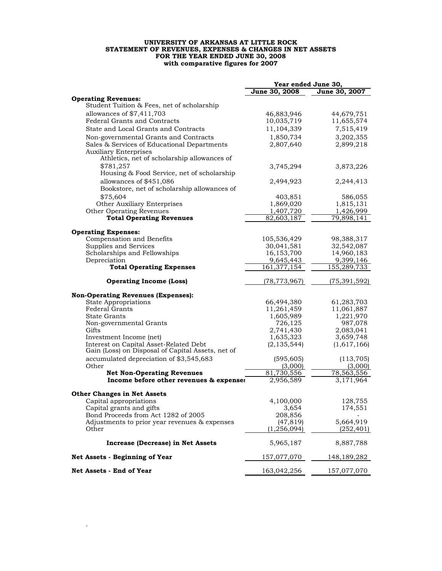## **UNIVERSITY OF ARKANSAS AT LITTLE ROCK STATEMENT OF REVENUES, EXPENSES & CHANGES IN NET ASSETS FOR THE YEAR ENDED JUNE 30, 2008 with comparative figures for 2007**

|                                                   | Year ended June 30,      |                     |  |  |
|---------------------------------------------------|--------------------------|---------------------|--|--|
|                                                   | June 30, 2008            | June 30, 2007       |  |  |
| <b>Operating Revenues:</b>                        |                          |                     |  |  |
| Student Tuition & Fees, net of scholarship        |                          |                     |  |  |
| allowances of $$7,411,703$                        | 46,883,946               | 44,679,751          |  |  |
| <b>Federal Grants and Contracts</b>               | 10,035,719               | 11,655,574          |  |  |
| State and Local Grants and Contracts              | 11,104,339               | 7,515,419           |  |  |
| Non-governmental Grants and Contracts             | 1,850,734                | 3,202,355           |  |  |
| Sales & Services of Educational Departments       | 2,807,640                | 2,899,218           |  |  |
| <b>Auxiliary Enterprises</b>                      |                          |                     |  |  |
| Athletics, net of scholarship allowances of       |                          |                     |  |  |
| \$781.257                                         | 3,745,294                | 3,873,226           |  |  |
| Housing & Food Service, net of scholarship        |                          |                     |  |  |
| allowances of \$451,086                           | 2,494,923                | 2,244,413           |  |  |
| Bookstore, net of scholarship allowances of       |                          |                     |  |  |
| \$75,604                                          | 403,851                  | 586,055             |  |  |
| Other Auxiliary Enterprises                       | 1,869,020                | 1,815,131           |  |  |
| Other Operating Revenues                          | 1,407,720                | 1,426,999           |  |  |
| <b>Total Operating Revenues</b>                   | 82,603,187               | 79,898,141          |  |  |
|                                                   |                          |                     |  |  |
| <b>Operating Expenses:</b>                        |                          |                     |  |  |
| Compensation and Benefits                         | 105,536,429              | 98,388,317          |  |  |
| Supplies and Services                             | 30,041,581               | 32,542,087          |  |  |
| Scholarships and Fellowships                      | 16,153,700               | 14,960,183          |  |  |
| Depreciation                                      | 9,645,443                | 9,399,146           |  |  |
| <b>Total Operating Expenses</b>                   | 161.377.154              | 155,289,733         |  |  |
| <b>Operating Income (Loss)</b>                    | (78, 773, 967)           | <u>(75,391,592)</u> |  |  |
| <b>Non-Operating Revenues (Expenses):</b>         |                          |                     |  |  |
| State Appropriations                              | 66,494,380               | 61,283,703          |  |  |
| <b>Federal Grants</b>                             | 11,261,459               | 11,061,887          |  |  |
| <b>State Grants</b>                               | 1,605,989                | 1,221,970           |  |  |
| Non-governmental Grants                           | 726,125                  | 987,078             |  |  |
| Gifts                                             | 2,741,430                | 2,083,041           |  |  |
| Investment Income (net)                           | 1,635,323                | 3,659,748           |  |  |
| Interest on Capital Asset-Related Debt            | (2, 135, 544)            | (1,617,166)         |  |  |
| Gain (Loss) on Disposal of Capital Assets, net of |                          |                     |  |  |
| accumulated depreciation of \$3,545,683           | (595, 605)               | (113, 705)          |  |  |
| Other                                             | (3,000)                  | (3,000)             |  |  |
| <b>Net Non-Operating Revenues</b>                 | 81,730,556               | 78,563,556          |  |  |
| Income before other revenues & expenses           | 2,956,589                | 3,171,964           |  |  |
| <b>Other Changes in Net Assets</b>                |                          |                     |  |  |
| Capital appropriations                            | 4,100,000                | 128,755             |  |  |
| Capital grants and gifts                          | 3,654                    | 174,551             |  |  |
| Bond Proceeds from Act 1282 of 2005               | 208,856                  |                     |  |  |
| Adjustments to prior year revenues & expenses     |                          | 5,664,919           |  |  |
| Other                                             | (47, 819)<br>(1,256,094) | (252, 401)          |  |  |
| Increase (Decrease) in Net Assets                 | 5,965,187                | 8,887,788           |  |  |
| Net Assets - Beginning of Year                    | 157,077,070              | 148,189,282         |  |  |
| Net Assets - End of Year                          | <u>163,042,256</u>       | <u>157,077,070</u>  |  |  |

 $\ddot{\phantom{a}}$